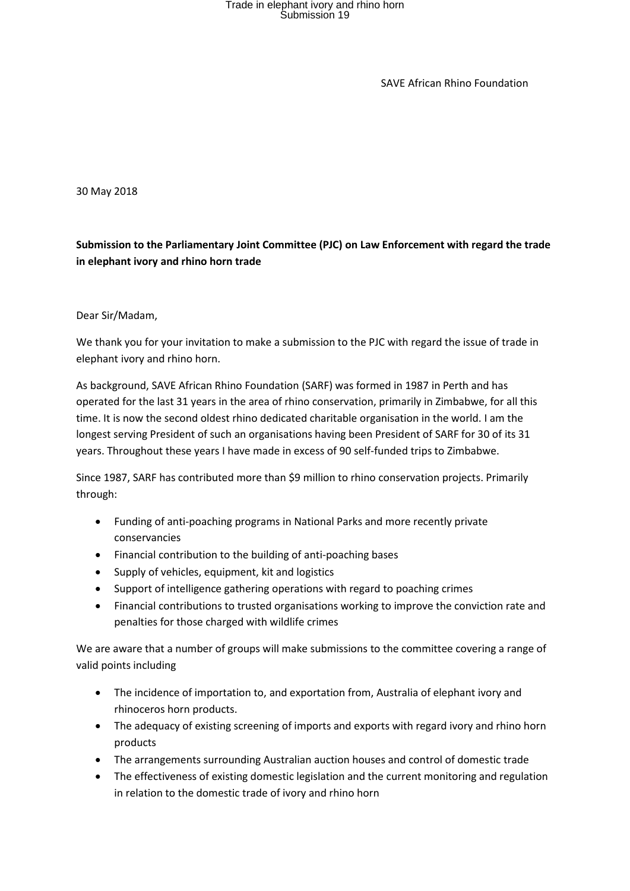SAVE African Rhino Foundation

30 May 2018

**Submission to the Parliamentary Joint Committee (PJC) on Law Enforcement with regard the trade in elephant ivory and rhino horn trade**

#### Dear Sir/Madam,

We thank you for your invitation to make a submission to the PJC with regard the issue of trade in elephant ivory and rhino horn.

As background, SAVE African Rhino Foundation (SARF) was formed in 1987 in Perth and has operated for the last 31 years in the area of rhino conservation, primarily in Zimbabwe, for all this time. It is now the second oldest rhino dedicated charitable organisation in the world. I am the longest serving President of such an organisations having been President of SARF for 30 of its 31 years. Throughout these years I have made in excess of 90 self-funded trips to Zimbabwe.

Since 1987, SARF has contributed more than \$9 million to rhino conservation projects. Primarily through:

- Funding of anti-poaching programs in National Parks and more recently private conservancies
- Financial contribution to the building of anti-poaching bases
- Supply of vehicles, equipment, kit and logistics
- Support of intelligence gathering operations with regard to poaching crimes
- Financial contributions to trusted organisations working to improve the conviction rate and penalties for those charged with wildlife crimes

We are aware that a number of groups will make submissions to the committee covering a range of valid points including

- The incidence of importation to, and exportation from, Australia of elephant ivory and rhinoceros horn products.
- The adequacy of existing screening of imports and exports with regard ivory and rhino horn products
- The arrangements surrounding Australian auction houses and control of domestic trade
- The effectiveness of existing domestic legislation and the current monitoring and regulation in relation to the domestic trade of ivory and rhino horn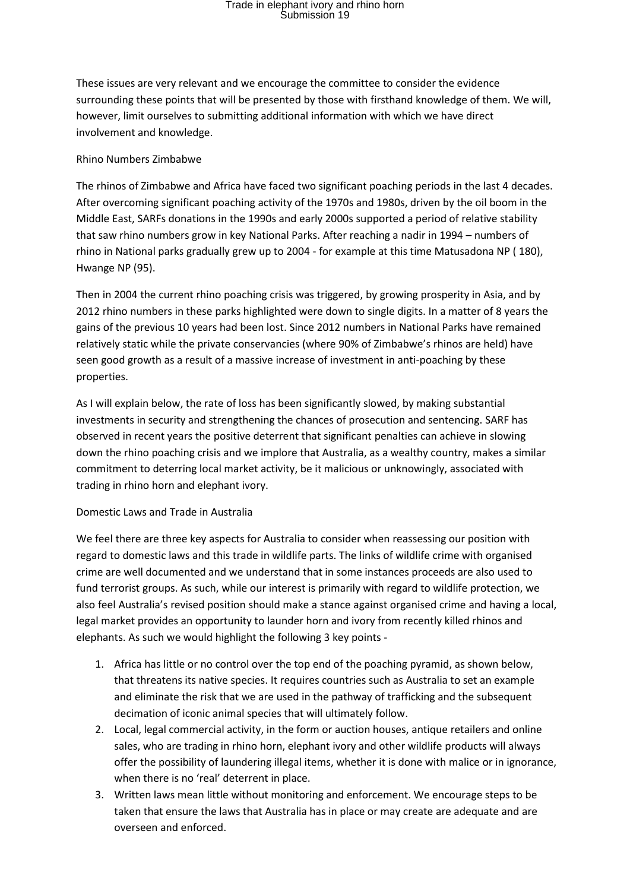These issues are very relevant and we encourage the committee to consider the evidence surrounding these points that will be presented by those with firsthand knowledge of them. We will, however, limit ourselves to submitting additional information with which we have direct involvement and knowledge.

#### Rhino Numbers Zimbabwe

The rhinos of Zimbabwe and Africa have faced two significant poaching periods in the last 4 decades. After overcoming significant poaching activity of the 1970s and 1980s, driven by the oil boom in the Middle East, SARFs donations in the 1990s and early 2000s supported a period of relative stability that saw rhino numbers grow in key National Parks. After reaching a nadir in 1994 – numbers of rhino in National parks gradually grew up to 2004 - for example at this time Matusadona NP ( 180), Hwange NP (95).

Then in 2004 the current rhino poaching crisis was triggered, by growing prosperity in Asia, and by 2012 rhino numbers in these parks highlighted were down to single digits. In a matter of 8 years the gains of the previous 10 years had been lost. Since 2012 numbers in National Parks have remained relatively static while the private conservancies (where 90% of Zimbabwe's rhinos are held) have seen good growth as a result of a massive increase of investment in anti-poaching by these properties.

As I will explain below, the rate of loss has been significantly slowed, by making substantial investments in security and strengthening the chances of prosecution and sentencing. SARF has observed in recent years the positive deterrent that significant penalties can achieve in slowing down the rhino poaching crisis and we implore that Australia, as a wealthy country, makes a similar commitment to deterring local market activity, be it malicious or unknowingly, associated with trading in rhino horn and elephant ivory.

#### Domestic Laws and Trade in Australia

We feel there are three key aspects for Australia to consider when reassessing our position with regard to domestic laws and this trade in wildlife parts. The links of wildlife crime with organised crime are well documented and we understand that in some instances proceeds are also used to fund terrorist groups. As such, while our interest is primarily with regard to wildlife protection, we also feel Australia's revised position should make a stance against organised crime and having a local, legal market provides an opportunity to launder horn and ivory from recently killed rhinos and elephants. As such we would highlight the following 3 key points -

- 1. Africa has little or no control over the top end of the poaching pyramid, as shown below, that threatens its native species. It requires countries such as Australia to set an example and eliminate the risk that we are used in the pathway of trafficking and the subsequent decimation of iconic animal species that will ultimately follow.
- 2. Local, legal commercial activity, in the form or auction houses, antique retailers and online sales, who are trading in rhino horn, elephant ivory and other wildlife products will always offer the possibility of laundering illegal items, whether it is done with malice or in ignorance, when there is no 'real' deterrent in place.
- 3. Written laws mean little without monitoring and enforcement. We encourage steps to be taken that ensure the laws that Australia has in place or may create are adequate and are overseen and enforced.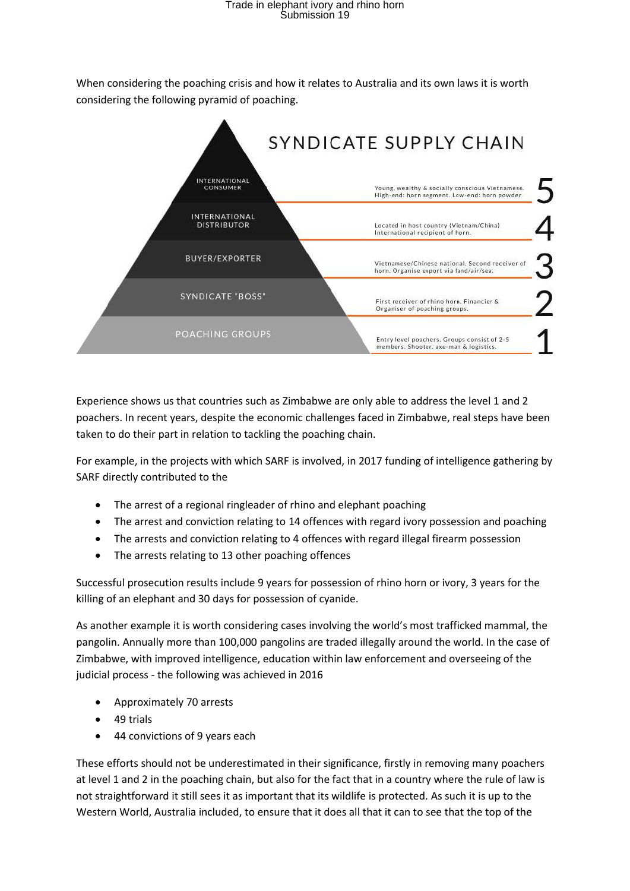When considering the poaching crisis and how it relates to Australia and its own laws it is worth considering the following pyramid of poaching.



Experience shows us that countries such as Zimbabwe are only able to address the level 1 and 2 poachers. In recent years, despite the economic challenges faced in Zimbabwe, real steps have been taken to do their part in relation to tackling the poaching chain.

For example, in the projects with which SARF is involved, in 2017 funding of intelligence gathering by SARF directly contributed to the

- The arrest of a regional ringleader of rhino and elephant poaching
- The arrest and conviction relating to 14 offences with regard ivory possession and poaching
- The arrests and conviction relating to 4 offences with regard illegal firearm possession
- The arrests relating to 13 other poaching offences

Successful prosecution results include 9 years for possession of rhino horn or ivory, 3 years for the killing of an elephant and 30 days for possession of cyanide.

As another example it is worth considering cases involving the world's most trafficked mammal, the pangolin. Annually more than 100,000 pangolins are traded illegally around the world. In the case of Zimbabwe, with improved intelligence, education within law enforcement and overseeing of the judicial process - the following was achieved in 2016

- Approximately 70 arrests
- 49 trials
- 44 convictions of 9 years each

These efforts should not be underestimated in their significance, firstly in removing many poachers at level 1 and 2 in the poaching chain, but also for the fact that in a country where the rule of law is not straightforward it still sees it as important that its wildlife is protected. As such it is up to the Western World, Australia included, to ensure that it does all that it can to see that the top of the